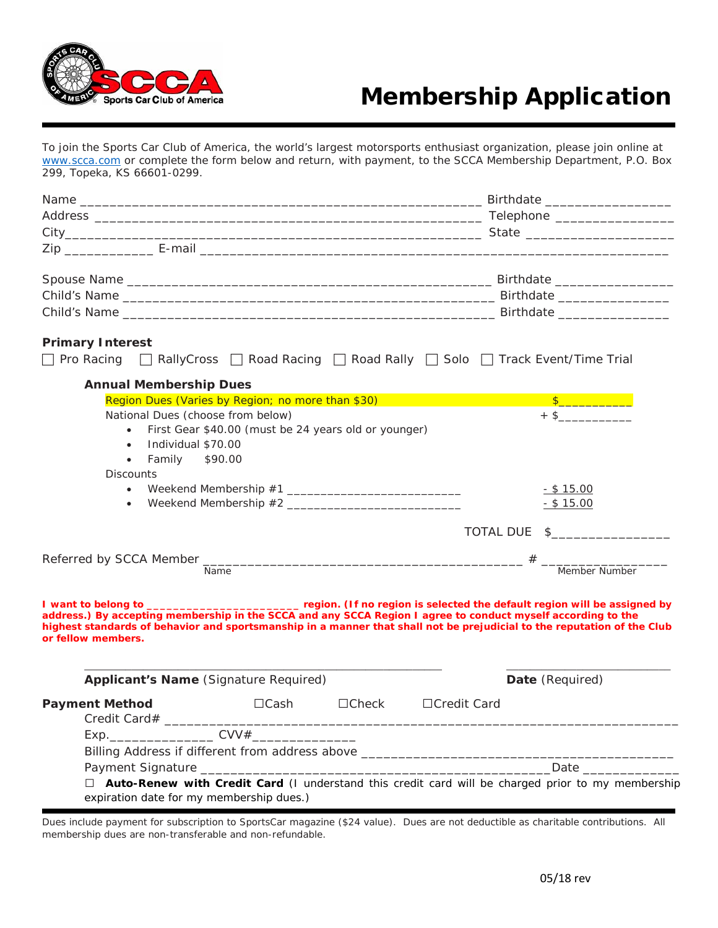

# Membership Application

To join the Sports Car Club of America, the world's largest motorsports enthusiast organization, please join online at [www.scca.com](http://www.scca.com/) or complete the form below and return, with payment, to the SCCA Membership Department, P.O. Box 299, Topeka, KS 66601-0299.

| <b>Primary Interest</b>                                                              |                                                                                                                                                                                                                                                                                                                                                                           |
|--------------------------------------------------------------------------------------|---------------------------------------------------------------------------------------------------------------------------------------------------------------------------------------------------------------------------------------------------------------------------------------------------------------------------------------------------------------------------|
| □ Pro Racing □ RallyCross □ Road Racing □ Road Rally □ Solo □ Track Event/Time Trial |                                                                                                                                                                                                                                                                                                                                                                           |
| <b>Annual Membership Dues</b>                                                        |                                                                                                                                                                                                                                                                                                                                                                           |
| Region Dues (Varies by Region; no more than \$30)                                    |                                                                                                                                                                                                                                                                                                                                                                           |
| National Dues (choose from below)                                                    | $+$ \$                                                                                                                                                                                                                                                                                                                                                                    |
| First Gear \$40.00 (must be 24 years old or younger)<br>$\bullet$                    |                                                                                                                                                                                                                                                                                                                                                                           |
| Individual \$70.00<br>$\bullet$                                                      |                                                                                                                                                                                                                                                                                                                                                                           |
| Family \$90.00<br>$\bullet$                                                          |                                                                                                                                                                                                                                                                                                                                                                           |
| <b>Discounts</b>                                                                     |                                                                                                                                                                                                                                                                                                                                                                           |
| $\bullet$                                                                            | <u>- \$15.00</u>                                                                                                                                                                                                                                                                                                                                                          |
| $\bullet$                                                                            | $-$ \$ 15.00                                                                                                                                                                                                                                                                                                                                                              |
|                                                                                      | TOTAL DUE \$                                                                                                                                                                                                                                                                                                                                                              |
|                                                                                      |                                                                                                                                                                                                                                                                                                                                                                           |
| Name                                                                                 | Member Number                                                                                                                                                                                                                                                                                                                                                             |
|                                                                                      |                                                                                                                                                                                                                                                                                                                                                                           |
| or fellow members.                                                                   | I want to belong to _________________________________ region. (If no region is selected the default region will be assigned by<br>address.) By accepting membership in the SCCA and any SCCA Region I agree to conduct myself according to the<br>highest standards of behavior and sportsmanship in a manner that shall not be prejudicial to the reputation of the Club |
| <b>Applicant's Name (Signature Required)</b>                                         | Date (Required)                                                                                                                                                                                                                                                                                                                                                           |
| $\Box$ Cash<br><b>Payment Method</b>                                                 | $\Box$ Check<br>□Credit Card                                                                                                                                                                                                                                                                                                                                              |
|                                                                                      |                                                                                                                                                                                                                                                                                                                                                                           |
|                                                                                      |                                                                                                                                                                                                                                                                                                                                                                           |
|                                                                                      |                                                                                                                                                                                                                                                                                                                                                                           |
| expiration date for my membership dues.)                                             | $\Box$ <b>Auto-Renew with Credit Card</b> (I understand this credit card will be charged prior to my membership                                                                                                                                                                                                                                                           |

Dues include payment for subscription to SportsCar magazine (\$24 value). Dues are not deductible as charitable contributions. All membership dues are non-transferable and non-refundable.